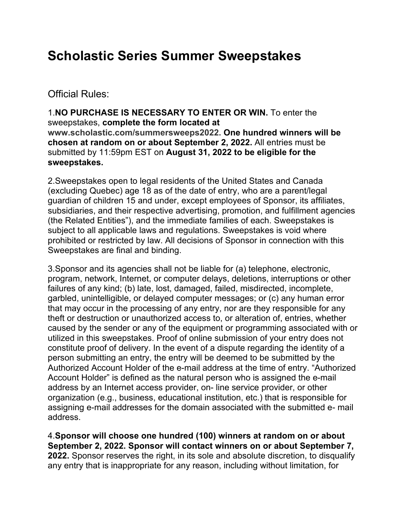## **Scholastic Series Summer Sweepstakes**

Official Rules:

1.**NO PURCHASE IS NECESSARY TO ENTER OR WIN.** To enter the sweepstakes, **complete the form located at www.scholastic.com/summersweeps2022. One hundred winners will be chosen at random on or about September 2, 2022.** All entries must be submitted by 11:59pm EST on **August 31, 2022 to be eligible for the sweepstakes.** 

2.Sweepstakes open to legal residents of the United States and Canada (excluding Quebec) age 18 as of the date of entry, who are a parent/legal guardian of children 15 and under, except employees of Sponsor, its affiliates, subsidiaries, and their respective advertising, promotion, and fulfillment agencies (the Related Entities"), and the immediate families of each. Sweepstakes is subject to all applicable laws and regulations. Sweepstakes is void where prohibited or restricted by law. All decisions of Sponsor in connection with this Sweepstakes are final and binding.

3.Sponsor and its agencies shall not be liable for (a) telephone, electronic, program, network, Internet, or computer delays, deletions, interruptions or other failures of any kind; (b) late, lost, damaged, failed, misdirected, incomplete, garbled, unintelligible, or delayed computer messages; or (c) any human error that may occur in the processing of any entry, nor are they responsible for any theft or destruction or unauthorized access to, or alteration of, entries, whether caused by the sender or any of the equipment or programming associated with or utilized in this sweepstakes. Proof of online submission of your entry does not constitute proof of delivery. In the event of a dispute regarding the identity of a person submitting an entry, the entry will be deemed to be submitted by the Authorized Account Holder of the e-mail address at the time of entry. "Authorized Account Holder" is defined as the natural person who is assigned the e-mail address by an Internet access provider, on- line service provider, or other organization (e.g., business, educational institution, etc.) that is responsible for assigning e-mail addresses for the domain associated with the submitted e- mail address.

4.**Sponsor will choose one hundred (100) winners at random on or about September 2, 2022. Sponsor will contact winners on or about September 7, 2022.** Sponsor reserves the right, in its sole and absolute discretion, to disqualify any entry that is inappropriate for any reason, including without limitation, for